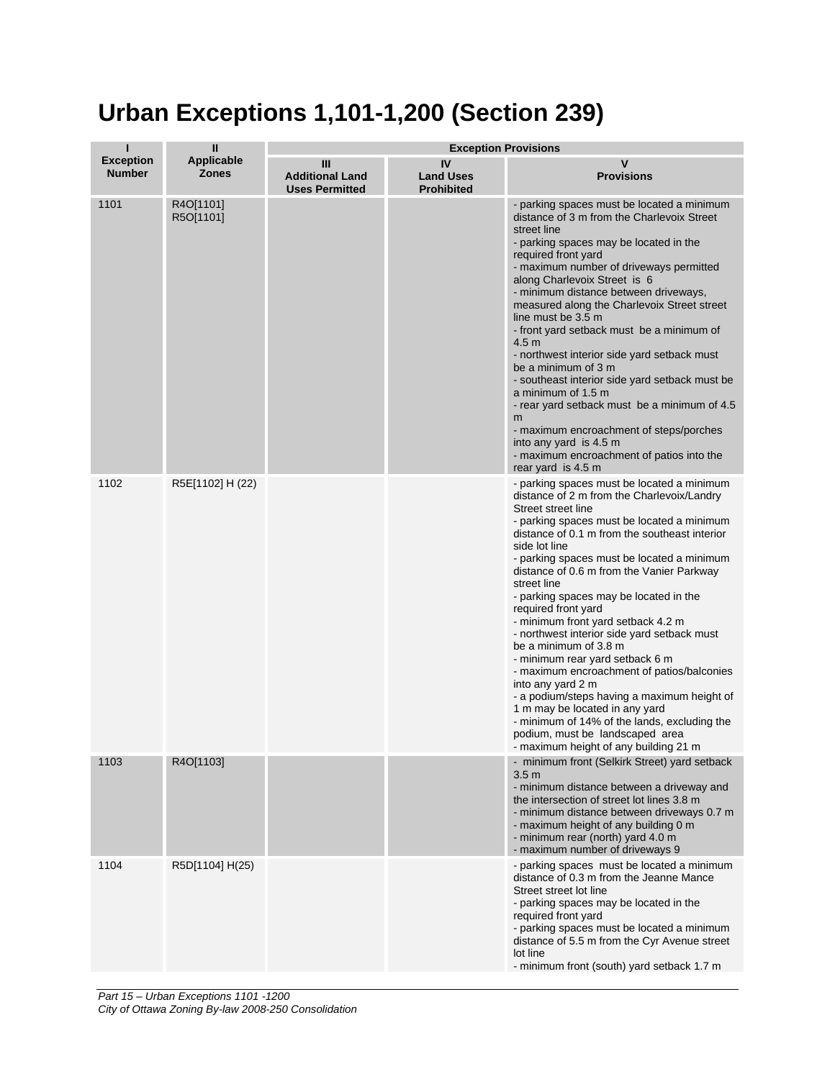## **Urban Exceptions 1,101-1,200 (Section 239)**

| п                                 | $\mathbf{I}$<br><b>Exception Provisions</b> |                                                      |                                             |                                                                                                                                                                                                                                                                                                                                                                                                                                                                                                                                                                                                                                                                                                                                                                                                                                            |
|-----------------------------------|---------------------------------------------|------------------------------------------------------|---------------------------------------------|--------------------------------------------------------------------------------------------------------------------------------------------------------------------------------------------------------------------------------------------------------------------------------------------------------------------------------------------------------------------------------------------------------------------------------------------------------------------------------------------------------------------------------------------------------------------------------------------------------------------------------------------------------------------------------------------------------------------------------------------------------------------------------------------------------------------------------------------|
| <b>Exception</b><br><b>Number</b> | <b>Applicable</b><br><b>Zones</b>           | Ш<br><b>Additional Land</b><br><b>Uses Permitted</b> | IV<br><b>Land Uses</b><br><b>Prohibited</b> | v<br><b>Provisions</b>                                                                                                                                                                                                                                                                                                                                                                                                                                                                                                                                                                                                                                                                                                                                                                                                                     |
| 1101                              | R4O[1101]<br>R5O[1101]                      |                                                      |                                             | - parking spaces must be located a minimum<br>distance of 3 m from the Charlevoix Street<br>street line<br>- parking spaces may be located in the<br>required front yard<br>- maximum number of driveways permitted<br>along Charlevoix Street is 6<br>- minimum distance between driveways,<br>measured along the Charlevoix Street street<br>line must be 3.5 m<br>- front yard setback must be a minimum of<br>4.5 <sub>m</sub><br>- northwest interior side yard setback must<br>be a minimum of 3 m<br>- southeast interior side yard setback must be<br>a minimum of 1.5 m<br>- rear yard setback must be a minimum of 4.5<br>m<br>- maximum encroachment of steps/porches<br>into any yard is 4.5 m<br>- maximum encroachment of patios into the<br>rear yard is 4.5 m                                                              |
| 1102                              | R5E[1102] H (22)                            |                                                      |                                             | - parking spaces must be located a minimum<br>distance of 2 m from the Charlevoix/Landry<br>Street street line<br>- parking spaces must be located a minimum<br>distance of 0.1 m from the southeast interior<br>side lot line<br>- parking spaces must be located a minimum<br>distance of 0.6 m from the Vanier Parkway<br>street line<br>- parking spaces may be located in the<br>required front yard<br>- minimum front yard setback 4.2 m<br>- northwest interior side yard setback must<br>be a minimum of 3.8 m<br>- minimum rear yard setback 6 m<br>- maximum encroachment of patios/balconies<br>into any yard 2 m<br>- a podium/steps having a maximum height of<br>1 m may be located in any yard<br>- minimum of 14% of the lands, excluding the<br>podium, must be landscaped area<br>- maximum height of any building 21 m |
| 1103                              | R4O[1103]                                   |                                                      |                                             | - minimum front (Selkirk Street) yard setback<br>3.5 <sub>m</sub><br>- minimum distance between a driveway and<br>the intersection of street lot lines 3.8 m<br>- minimum distance between driveways 0.7 m<br>- maximum height of any building 0 m<br>- minimum rear (north) yard 4.0 m<br>- maximum number of driveways 9                                                                                                                                                                                                                                                                                                                                                                                                                                                                                                                 |
| 1104                              | R5D[1104] H(25)                             |                                                      |                                             | - parking spaces must be located a minimum<br>distance of 0.3 m from the Jeanne Mance<br>Street street lot line<br>- parking spaces may be located in the<br>required front yard<br>- parking spaces must be located a minimum<br>distance of 5.5 m from the Cyr Avenue street<br>lot line<br>- minimum front (south) yard setback 1.7 m                                                                                                                                                                                                                                                                                                                                                                                                                                                                                                   |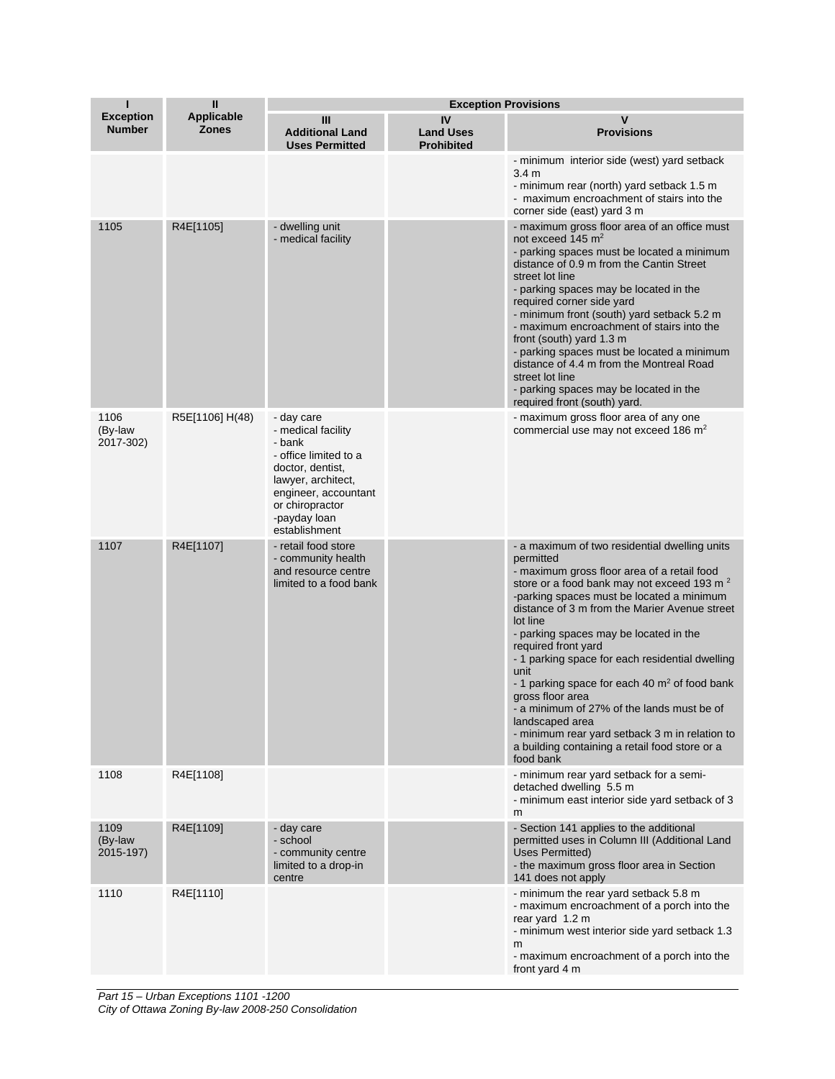| П                                 | $\mathbf{I}$                      | <b>Exception Provisions</b>                                                                                                                                                               |                                             |                                                                                                                                                                                                                                                                                                                                                                                                                                                                                                                                                                                                                                                                    |
|-----------------------------------|-----------------------------------|-------------------------------------------------------------------------------------------------------------------------------------------------------------------------------------------|---------------------------------------------|--------------------------------------------------------------------------------------------------------------------------------------------------------------------------------------------------------------------------------------------------------------------------------------------------------------------------------------------------------------------------------------------------------------------------------------------------------------------------------------------------------------------------------------------------------------------------------------------------------------------------------------------------------------------|
| <b>Exception</b><br><b>Number</b> | <b>Applicable</b><br><b>Zones</b> | Ш<br><b>Additional Land</b><br><b>Uses Permitted</b>                                                                                                                                      | IV<br><b>Land Uses</b><br><b>Prohibited</b> | v<br><b>Provisions</b>                                                                                                                                                                                                                                                                                                                                                                                                                                                                                                                                                                                                                                             |
|                                   |                                   |                                                                                                                                                                                           |                                             | - minimum interior side (west) yard setback<br>3.4 <sub>m</sub><br>- minimum rear (north) yard setback 1.5 m<br>- maximum encroachment of stairs into the<br>corner side (east) yard 3 m                                                                                                                                                                                                                                                                                                                                                                                                                                                                           |
| 1105                              | R4E[1105]                         | - dwelling unit<br>- medical facility                                                                                                                                                     |                                             | - maximum gross floor area of an office must<br>not exceed 145 $m2$<br>- parking spaces must be located a minimum<br>distance of 0.9 m from the Cantin Street<br>street lot line<br>- parking spaces may be located in the<br>required corner side yard<br>- minimum front (south) yard setback 5.2 m<br>- maximum encroachment of stairs into the<br>front (south) yard 1.3 m<br>- parking spaces must be located a minimum<br>distance of 4.4 m from the Montreal Road<br>street lot line<br>- parking spaces may be located in the<br>required front (south) yard.                                                                                              |
| 1106<br>(By-law<br>2017-302)      | R5E[1106] H(48)                   | - day care<br>- medical facility<br>- bank<br>- office limited to a<br>doctor, dentist,<br>lawyer, architect,<br>engineer, accountant<br>or chiropractor<br>-payday loan<br>establishment |                                             | - maximum gross floor area of any one<br>commercial use may not exceed 186 m <sup>2</sup>                                                                                                                                                                                                                                                                                                                                                                                                                                                                                                                                                                          |
| 1107                              | R4E[1107]                         | - retail food store<br>- community health<br>and resource centre<br>limited to a food bank                                                                                                |                                             | - a maximum of two residential dwelling units<br>permitted<br>- maximum gross floor area of a retail food<br>store or a food bank may not exceed 193 m <sup>2</sup><br>-parking spaces must be located a minimum<br>distance of 3 m from the Marier Avenue street<br>lot line<br>- parking spaces may be located in the<br>required front yard<br>- 1 parking space for each residential dwelling<br>unit<br>- 1 parking space for each 40 $m2$ of food bank<br>gross floor area<br>- a minimum of 27% of the lands must be of<br>landscaped area<br>- minimum rear yard setback 3 m in relation to<br>a building containing a retail food store or a<br>food bank |
| 1108                              | R4E[1108]                         |                                                                                                                                                                                           |                                             | - minimum rear yard setback for a semi-<br>detached dwelling 5.5 m<br>- minimum east interior side yard setback of 3<br>m                                                                                                                                                                                                                                                                                                                                                                                                                                                                                                                                          |
| 1109<br>(By-law<br>2015-197)      | R4E[1109]                         | - day care<br>- school<br>- community centre<br>limited to a drop-in<br>centre                                                                                                            |                                             | - Section 141 applies to the additional<br>permitted uses in Column III (Additional Land<br><b>Uses Permitted)</b><br>- the maximum gross floor area in Section<br>141 does not apply                                                                                                                                                                                                                                                                                                                                                                                                                                                                              |
| 1110                              | R4E[1110]                         |                                                                                                                                                                                           |                                             | - minimum the rear yard setback 5.8 m<br>- maximum encroachment of a porch into the<br>rear yard 1.2 m<br>- minimum west interior side yard setback 1.3<br>m<br>- maximum encroachment of a porch into the<br>front yard 4 m                                                                                                                                                                                                                                                                                                                                                                                                                                       |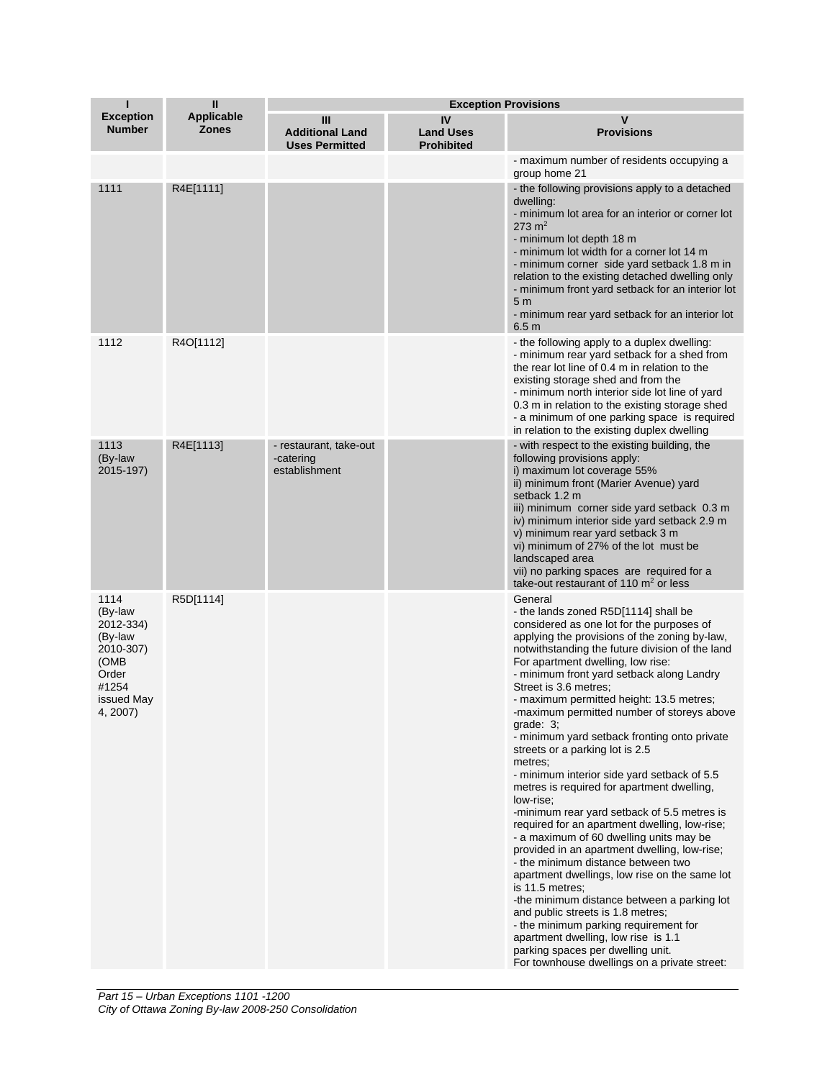| п                                                                                                        | $\mathbf{II}$                     | <b>Exception Provisions</b>                          |                                             |                                                                                                                                                                                                                                                                                                                                                                                                                                                                                                                                                                                                                                                                                                                                                                                                                                                                                                                                                                                                                                                                                                                                                                                             |
|----------------------------------------------------------------------------------------------------------|-----------------------------------|------------------------------------------------------|---------------------------------------------|---------------------------------------------------------------------------------------------------------------------------------------------------------------------------------------------------------------------------------------------------------------------------------------------------------------------------------------------------------------------------------------------------------------------------------------------------------------------------------------------------------------------------------------------------------------------------------------------------------------------------------------------------------------------------------------------------------------------------------------------------------------------------------------------------------------------------------------------------------------------------------------------------------------------------------------------------------------------------------------------------------------------------------------------------------------------------------------------------------------------------------------------------------------------------------------------|
| <b>Exception</b><br><b>Number</b>                                                                        | <b>Applicable</b><br><b>Zones</b> | Ш<br><b>Additional Land</b><br><b>Uses Permitted</b> | IV<br><b>Land Uses</b><br><b>Prohibited</b> | v<br><b>Provisions</b>                                                                                                                                                                                                                                                                                                                                                                                                                                                                                                                                                                                                                                                                                                                                                                                                                                                                                                                                                                                                                                                                                                                                                                      |
|                                                                                                          |                                   |                                                      |                                             | - maximum number of residents occupying a<br>group home 21                                                                                                                                                                                                                                                                                                                                                                                                                                                                                                                                                                                                                                                                                                                                                                                                                                                                                                                                                                                                                                                                                                                                  |
| 1111                                                                                                     | R4E[1111]                         |                                                      |                                             | - the following provisions apply to a detached<br>dwelling:<br>- minimum lot area for an interior or corner lot<br>$273 \text{ m}^2$<br>- minimum lot depth 18 m<br>- minimum lot width for a corner lot 14 m<br>- minimum corner side yard setback 1.8 m in<br>relation to the existing detached dwelling only<br>- minimum front yard setback for an interior lot<br>5 <sub>m</sub><br>- minimum rear yard setback for an interior lot<br>6.5 <sub>m</sub>                                                                                                                                                                                                                                                                                                                                                                                                                                                                                                                                                                                                                                                                                                                                |
| 1112                                                                                                     | R4O[1112]                         |                                                      |                                             | - the following apply to a duplex dwelling:<br>- minimum rear yard setback for a shed from<br>the rear lot line of 0.4 m in relation to the<br>existing storage shed and from the<br>- minimum north interior side lot line of yard<br>0.3 m in relation to the existing storage shed<br>- a minimum of one parking space is required<br>in relation to the existing duplex dwelling                                                                                                                                                                                                                                                                                                                                                                                                                                                                                                                                                                                                                                                                                                                                                                                                        |
| 1113<br>(By-law<br>2015-197)                                                                             | R4E[1113]                         | - restaurant, take-out<br>-catering<br>establishment |                                             | - with respect to the existing building, the<br>following provisions apply:<br>i) maximum lot coverage 55%<br>ii) minimum front (Marier Avenue) yard<br>setback 1.2 m<br>iii) minimum corner side yard setback 0.3 m<br>iv) minimum interior side yard setback 2.9 m<br>v) minimum rear yard setback 3 m<br>vi) minimum of 27% of the lot must be<br>landscaped area<br>vii) no parking spaces are required for a<br>take-out restaurant of 110 $\mathrm{m}^2$ or less                                                                                                                                                                                                                                                                                                                                                                                                                                                                                                                                                                                                                                                                                                                      |
| 1114<br>(By-law<br>2012-334)<br>(By-law<br>2010-307)<br>(OMB<br>Order<br>#1254<br>issued May<br>4, 2007) | R5D[1114]                         |                                                      |                                             | General<br>- the lands zoned R5D[1114] shall be<br>considered as one lot for the purposes of<br>applying the provisions of the zoning by-law,<br>notwithstanding the future division of the land<br>For apartment dwelling, low rise:<br>- minimum front yard setback along Landry<br>Street is 3.6 metres:<br>- maximum permitted height: 13.5 metres;<br>-maximum permitted number of storeys above<br>grade: $3$ ;<br>- minimum yard setback fronting onto private<br>streets or a parking lot is 2.5<br>metres;<br>- minimum interior side yard setback of 5.5<br>metres is required for apartment dwelling,<br>low-rise;<br>-minimum rear yard setback of 5.5 metres is<br>required for an apartment dwelling, low-rise;<br>- a maximum of 60 dwelling units may be<br>provided in an apartment dwelling, low-rise;<br>- the minimum distance between two<br>apartment dwellings, low rise on the same lot<br>is 11.5 metres;<br>-the minimum distance between a parking lot<br>and public streets is 1.8 metres;<br>- the minimum parking requirement for<br>apartment dwelling, low rise is 1.1<br>parking spaces per dwelling unit.<br>For townhouse dwellings on a private street: |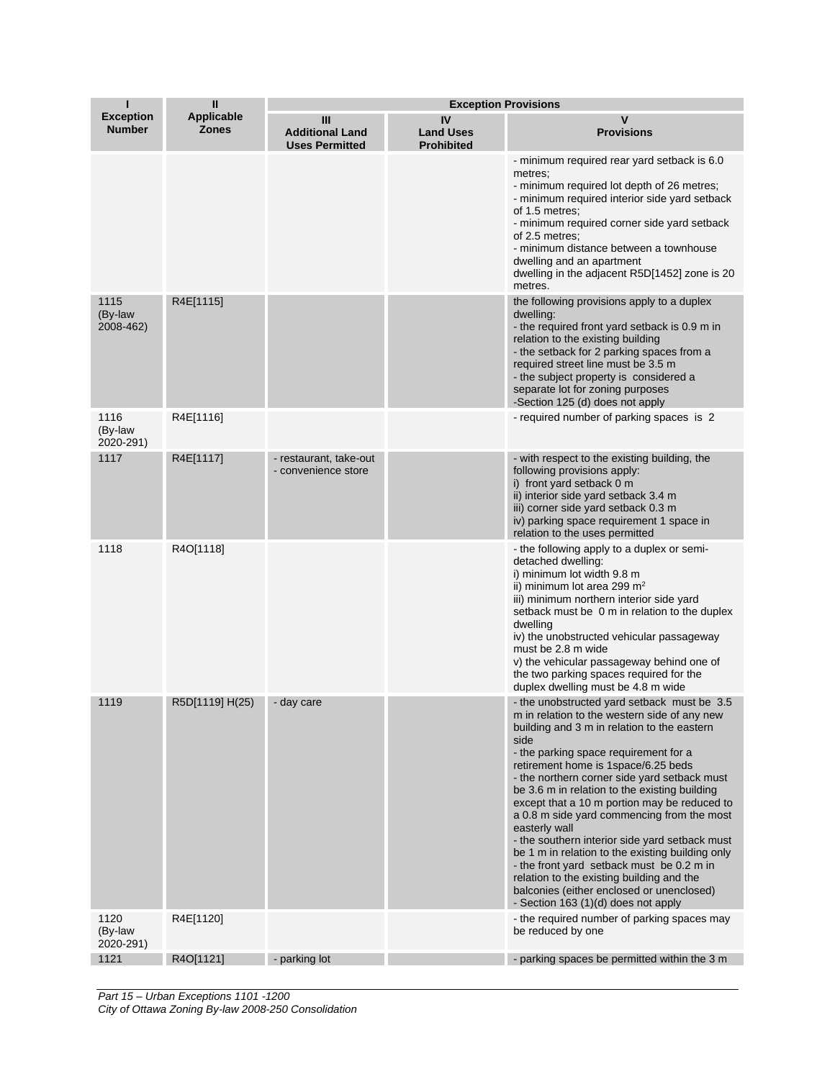| Т                                 | $\mathbf{I}$                      | <b>Exception Provisions</b>                          |                                             |                                                                                                                                                                                                                                                                                                                                                                                                                                                                                                                                                                                                                                                                                                                                        |
|-----------------------------------|-----------------------------------|------------------------------------------------------|---------------------------------------------|----------------------------------------------------------------------------------------------------------------------------------------------------------------------------------------------------------------------------------------------------------------------------------------------------------------------------------------------------------------------------------------------------------------------------------------------------------------------------------------------------------------------------------------------------------------------------------------------------------------------------------------------------------------------------------------------------------------------------------------|
| <b>Exception</b><br><b>Number</b> | <b>Applicable</b><br><b>Zones</b> | Ш<br><b>Additional Land</b><br><b>Uses Permitted</b> | IV<br><b>Land Uses</b><br><b>Prohibited</b> | v<br><b>Provisions</b>                                                                                                                                                                                                                                                                                                                                                                                                                                                                                                                                                                                                                                                                                                                 |
|                                   |                                   |                                                      |                                             | - minimum required rear yard setback is 6.0<br>metres;<br>- minimum required lot depth of 26 metres;<br>- minimum required interior side yard setback<br>of 1.5 metres;<br>- minimum required corner side yard setback<br>of 2.5 metres;<br>- minimum distance between a townhouse<br>dwelling and an apartment<br>dwelling in the adjacent R5D[1452] zone is 20<br>metres.                                                                                                                                                                                                                                                                                                                                                            |
| 1115<br>(By-law<br>2008-462)      | R4E[1115]                         |                                                      |                                             | the following provisions apply to a duplex<br>dwelling:<br>- the required front yard setback is 0.9 m in<br>relation to the existing building<br>- the setback for 2 parking spaces from a<br>required street line must be 3.5 m<br>- the subject property is considered a<br>separate lot for zoning purposes<br>-Section 125 (d) does not apply                                                                                                                                                                                                                                                                                                                                                                                      |
| 1116<br>(By-law<br>2020-291)      | R4E[1116]                         |                                                      |                                             | - required number of parking spaces is 2                                                                                                                                                                                                                                                                                                                                                                                                                                                                                                                                                                                                                                                                                               |
| 1117                              | R4E[1117]                         | - restaurant, take-out<br>- convenience store        |                                             | - with respect to the existing building, the<br>following provisions apply:<br>i) front yard setback 0 m<br>ii) interior side yard setback 3.4 m<br>iii) corner side yard setback 0.3 m<br>iv) parking space requirement 1 space in<br>relation to the uses permitted                                                                                                                                                                                                                                                                                                                                                                                                                                                                  |
| 1118                              | R4O[1118]                         |                                                      |                                             | - the following apply to a duplex or semi-<br>detached dwelling:<br>i) minimum lot width 9.8 m<br>ii) minimum lot area 299 $m2$<br>iii) minimum northern interior side yard<br>setback must be 0 m in relation to the duplex<br>dwelling<br>iv) the unobstructed vehicular passageway<br>must be 2.8 m wide<br>v) the vehicular passageway behind one of<br>the two parking spaces required for the<br>duplex dwelling must be 4.8 m wide                                                                                                                                                                                                                                                                                              |
| 1119                              | R5D[1119] H(25)                   | - day care                                           |                                             | - the unobstructed yard setback must be 3.5<br>m in relation to the western side of any new<br>building and 3 m in relation to the eastern<br>side<br>- the parking space requirement for a<br>retirement home is 1space/6.25 beds<br>- the northern corner side yard setback must<br>be 3.6 m in relation to the existing building<br>except that a 10 m portion may be reduced to<br>a 0.8 m side yard commencing from the most<br>easterly wall<br>- the southern interior side yard setback must<br>be 1 m in relation to the existing building only<br>- the front yard setback must be 0.2 m in<br>relation to the existing building and the<br>balconies (either enclosed or unenclosed)<br>- Section 163 (1)(d) does not apply |
| 1120<br>(By-law<br>2020-291)      | R4E[1120]                         |                                                      |                                             | - the required number of parking spaces may<br>be reduced by one                                                                                                                                                                                                                                                                                                                                                                                                                                                                                                                                                                                                                                                                       |
| 1121                              | R4O[1121]                         | - parking lot                                        |                                             | - parking spaces be permitted within the 3 m                                                                                                                                                                                                                                                                                                                                                                                                                                                                                                                                                                                                                                                                                           |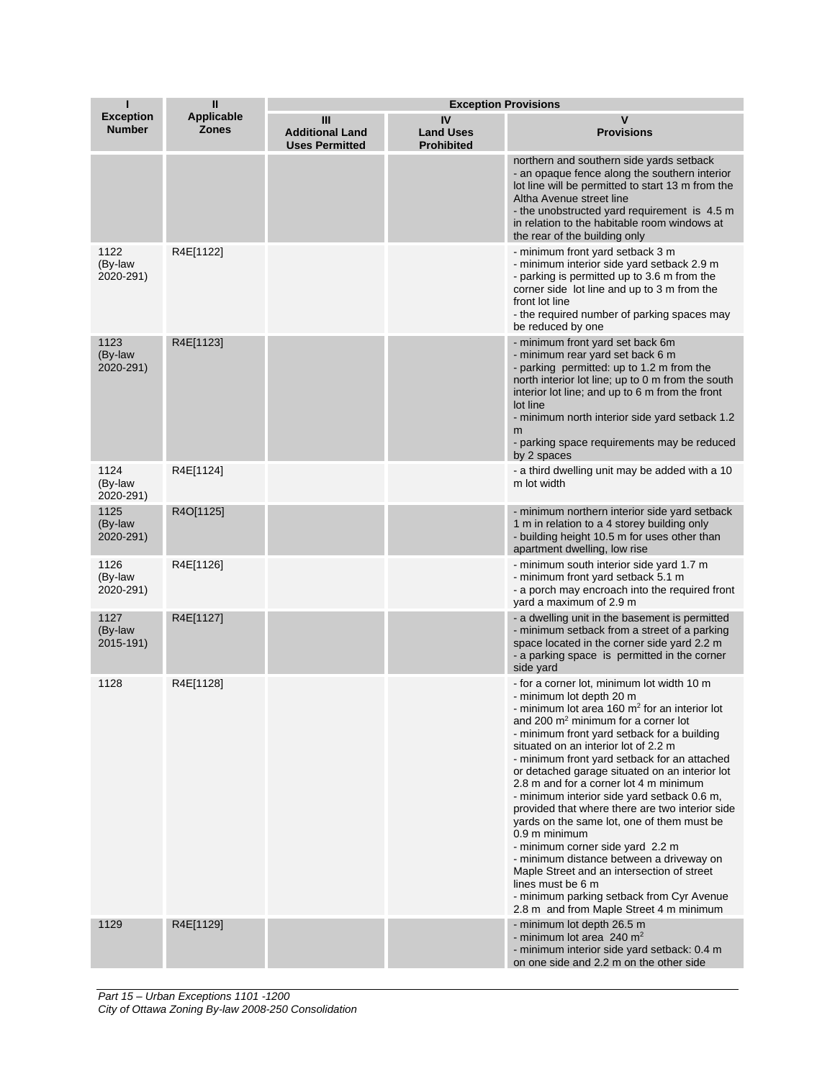|                                   | $\mathbf{I}$                      | <b>Exception Provisions</b>                          |                                             |                                                                                                                                                                                                                                                                                                                                                                                                                                                                                                                                                                                                                                                                                                                                                                                                                             |
|-----------------------------------|-----------------------------------|------------------------------------------------------|---------------------------------------------|-----------------------------------------------------------------------------------------------------------------------------------------------------------------------------------------------------------------------------------------------------------------------------------------------------------------------------------------------------------------------------------------------------------------------------------------------------------------------------------------------------------------------------------------------------------------------------------------------------------------------------------------------------------------------------------------------------------------------------------------------------------------------------------------------------------------------------|
| <b>Exception</b><br><b>Number</b> | <b>Applicable</b><br><b>Zones</b> | Ш<br><b>Additional Land</b><br><b>Uses Permitted</b> | IV<br><b>Land Uses</b><br><b>Prohibited</b> | v<br><b>Provisions</b>                                                                                                                                                                                                                                                                                                                                                                                                                                                                                                                                                                                                                                                                                                                                                                                                      |
|                                   |                                   |                                                      |                                             | northern and southern side yards setback<br>- an opaque fence along the southern interior<br>lot line will be permitted to start 13 m from the<br>Altha Avenue street line<br>- the unobstructed yard requirement is 4.5 m<br>in relation to the habitable room windows at<br>the rear of the building only                                                                                                                                                                                                                                                                                                                                                                                                                                                                                                                 |
| 1122<br>(By-law<br>2020-291)      | R4E[1122]                         |                                                      |                                             | - minimum front yard setback 3 m<br>- minimum interior side yard setback 2.9 m<br>- parking is permitted up to 3.6 m from the<br>corner side lot line and up to 3 m from the<br>front lot line<br>- the required number of parking spaces may<br>be reduced by one                                                                                                                                                                                                                                                                                                                                                                                                                                                                                                                                                          |
| 1123<br>(By-law<br>2020-291)      | R4E[1123]                         |                                                      |                                             | - minimum front yard set back 6m<br>- minimum rear yard set back 6 m<br>- parking permitted: up to 1.2 m from the<br>north interior lot line; up to 0 m from the south<br>interior lot line; and up to 6 m from the front<br>lot line<br>- minimum north interior side yard setback 1.2<br>m<br>- parking space requirements may be reduced<br>by 2 spaces                                                                                                                                                                                                                                                                                                                                                                                                                                                                  |
| 1124<br>(By-law<br>2020-291)      | R4E[1124]                         |                                                      |                                             | - a third dwelling unit may be added with a 10<br>m lot width                                                                                                                                                                                                                                                                                                                                                                                                                                                                                                                                                                                                                                                                                                                                                               |
| 1125<br>(By-law<br>2020-291)      | R4O[1125]                         |                                                      |                                             | - minimum northern interior side yard setback<br>1 m in relation to a 4 storey building only<br>- building height 10.5 m for uses other than<br>apartment dwelling, low rise                                                                                                                                                                                                                                                                                                                                                                                                                                                                                                                                                                                                                                                |
| 1126<br>(By-law<br>2020-291)      | R4E[1126]                         |                                                      |                                             | - minimum south interior side yard 1.7 m<br>- minimum front yard setback 5.1 m<br>- a porch may encroach into the required front<br>yard a maximum of 2.9 m                                                                                                                                                                                                                                                                                                                                                                                                                                                                                                                                                                                                                                                                 |
| 1127<br>(By-law<br>2015-191)      | R4E[1127]                         |                                                      |                                             | - a dwelling unit in the basement is permitted<br>- minimum setback from a street of a parking<br>space located in the corner side yard 2.2 m<br>- a parking space is permitted in the corner<br>side yard                                                                                                                                                                                                                                                                                                                                                                                                                                                                                                                                                                                                                  |
| 1128                              | R4E[1128]                         |                                                      |                                             | - for a corner lot, minimum lot width 10 m<br>- minimum lot depth 20 m<br>- minimum lot area 160 m <sup>2</sup> for an interior lot<br>and 200 $m2$ minimum for a corner lot<br>- minimum front yard setback for a building<br>situated on an interior lot of 2.2 m<br>- minimum front yard setback for an attached<br>or detached garage situated on an interior lot<br>2.8 m and for a corner lot 4 m minimum<br>- minimum interior side yard setback 0.6 m,<br>provided that where there are two interior side<br>yards on the same lot, one of them must be<br>0.9 m minimum<br>- minimum corner side yard 2.2 m<br>- minimum distance between a driveway on<br>Maple Street and an intersection of street<br>lines must be 6 m<br>- minimum parking setback from Cyr Avenue<br>2.8 m and from Maple Street 4 m minimum |
| 1129                              | R4E[1129]                         |                                                      |                                             | - minimum lot depth 26.5 m<br>- minimum lot area 240 $m2$<br>- minimum interior side yard setback: 0.4 m<br>on one side and 2.2 m on the other side                                                                                                                                                                                                                                                                                                                                                                                                                                                                                                                                                                                                                                                                         |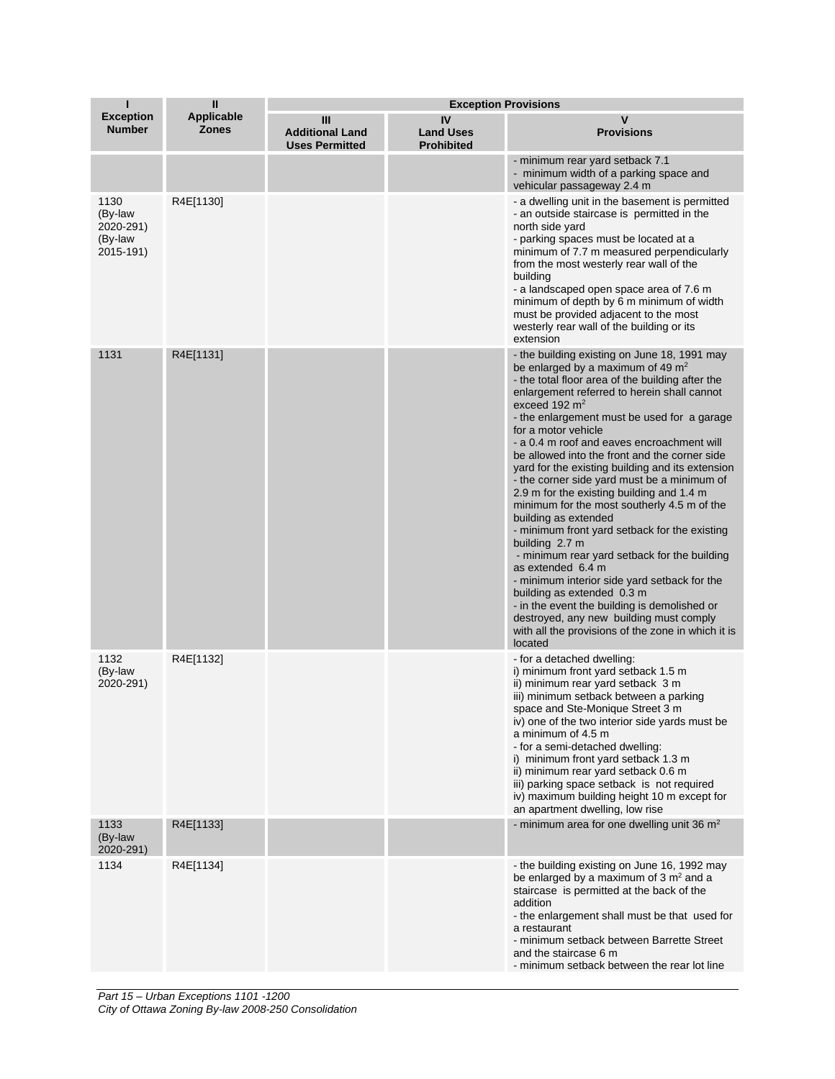| п                                                    | $\mathbf{I}$                      | <b>Exception Provisions</b>                          |                                             |                                                                                                                                                                                                                                                                                                                                                                                                                                                                                                                                                                                                                                                                                                                                                                                                                                                                                                                                                                                         |
|------------------------------------------------------|-----------------------------------|------------------------------------------------------|---------------------------------------------|-----------------------------------------------------------------------------------------------------------------------------------------------------------------------------------------------------------------------------------------------------------------------------------------------------------------------------------------------------------------------------------------------------------------------------------------------------------------------------------------------------------------------------------------------------------------------------------------------------------------------------------------------------------------------------------------------------------------------------------------------------------------------------------------------------------------------------------------------------------------------------------------------------------------------------------------------------------------------------------------|
| <b>Exception</b><br><b>Number</b>                    | <b>Applicable</b><br><b>Zones</b> | Ш<br><b>Additional Land</b><br><b>Uses Permitted</b> | IV<br><b>Land Uses</b><br><b>Prohibited</b> | v<br><b>Provisions</b>                                                                                                                                                                                                                                                                                                                                                                                                                                                                                                                                                                                                                                                                                                                                                                                                                                                                                                                                                                  |
|                                                      |                                   |                                                      |                                             | - minimum rear yard setback 7.1<br>- minimum width of a parking space and<br>vehicular passageway 2.4 m                                                                                                                                                                                                                                                                                                                                                                                                                                                                                                                                                                                                                                                                                                                                                                                                                                                                                 |
| 1130<br>(By-law<br>2020-291)<br>(By-law<br>2015-191) | R4E[1130]                         |                                                      |                                             | - a dwelling unit in the basement is permitted<br>- an outside staircase is permitted in the<br>north side yard<br>- parking spaces must be located at a<br>minimum of 7.7 m measured perpendicularly<br>from the most westerly rear wall of the<br>building<br>- a landscaped open space area of 7.6 m<br>minimum of depth by 6 m minimum of width<br>must be provided adjacent to the most<br>westerly rear wall of the building or its<br>extension                                                                                                                                                                                                                                                                                                                                                                                                                                                                                                                                  |
| 1131                                                 | R4E[1131]                         |                                                      |                                             | - the building existing on June 18, 1991 may<br>be enlarged by a maximum of 49 $m2$<br>- the total floor area of the building after the<br>enlargement referred to herein shall cannot<br>exceed 192 $m2$<br>- the enlargement must be used for a garage<br>for a motor vehicle<br>- a 0.4 m roof and eaves encroachment will<br>be allowed into the front and the corner side<br>yard for the existing building and its extension<br>- the corner side yard must be a minimum of<br>2.9 m for the existing building and 1.4 m<br>minimum for the most southerly 4.5 m of the<br>building as extended<br>- minimum front yard setback for the existing<br>building 2.7 m<br>- minimum rear yard setback for the building<br>as extended 6.4 m<br>- minimum interior side yard setback for the<br>building as extended 0.3 m<br>- in the event the building is demolished or<br>destroyed, any new building must comply<br>with all the provisions of the zone in which it is<br>located |
| 1132<br>(By-law<br>2020-291)                         | R4E[1132]                         |                                                      |                                             | - for a detached dwelling:<br>i) minimum front yard setback 1.5 m<br>ii) minimum rear yard setback 3 m<br>iii) minimum setback between a parking<br>space and Ste-Monique Street 3 m<br>iv) one of the two interior side yards must be<br>a minimum of 4.5 m<br>- for a semi-detached dwelling:<br>i) minimum front yard setback 1.3 m<br>ii) minimum rear yard setback 0.6 m<br>iii) parking space setback is not required<br>iv) maximum building height 10 m except for<br>an apartment dwelling, low rise                                                                                                                                                                                                                                                                                                                                                                                                                                                                           |
| 1133<br>(By-law<br>2020-291)                         | R4E[1133]                         |                                                      |                                             | - minimum area for one dwelling unit 36 $m2$                                                                                                                                                                                                                                                                                                                                                                                                                                                                                                                                                                                                                                                                                                                                                                                                                                                                                                                                            |
| 1134                                                 | R4E[1134]                         |                                                      |                                             | - the building existing on June 16, 1992 may<br>be enlarged by a maximum of $3 \text{ m}^2$ and a<br>staircase is permitted at the back of the<br>addition<br>- the enlargement shall must be that used for<br>a restaurant<br>- minimum setback between Barrette Street<br>and the staircase 6 m<br>- minimum setback between the rear lot line                                                                                                                                                                                                                                                                                                                                                                                                                                                                                                                                                                                                                                        |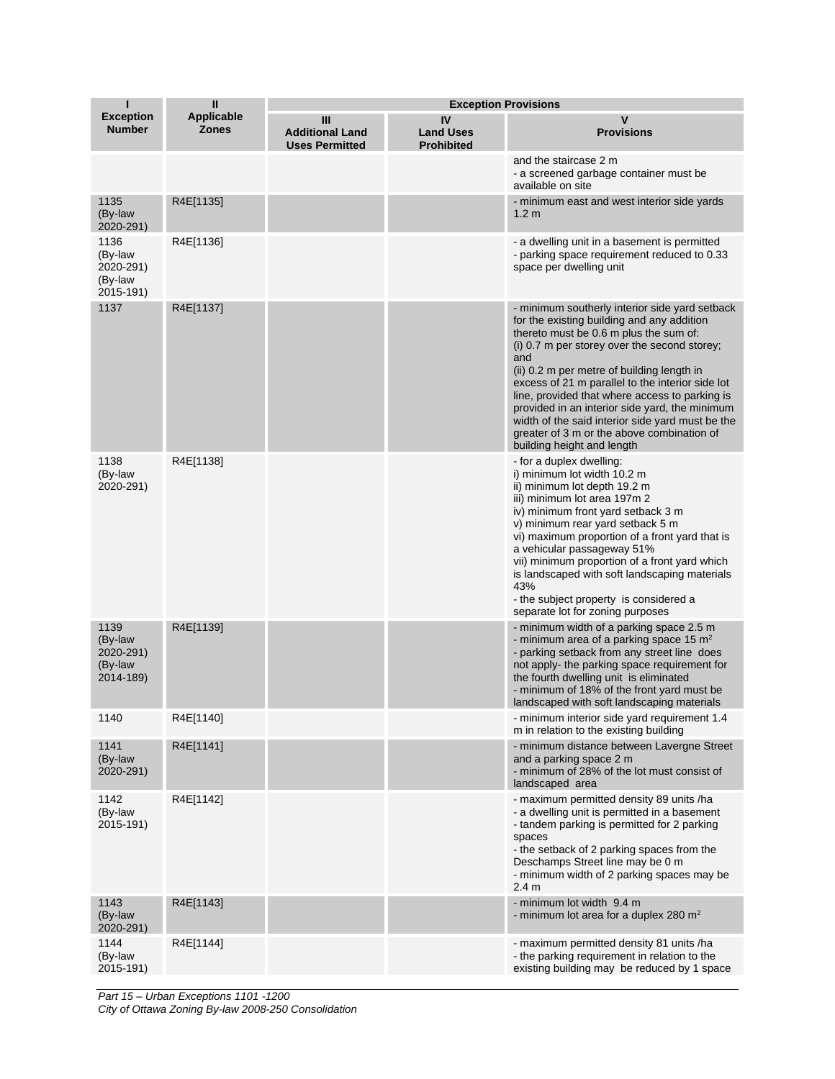| п                                                    | $\mathbf{I}$                      |                                                      |                                             | <b>Exception Provisions</b>                                                                                                                                                                                                                                                                                                                                                                                                                                                                                                         |
|------------------------------------------------------|-----------------------------------|------------------------------------------------------|---------------------------------------------|-------------------------------------------------------------------------------------------------------------------------------------------------------------------------------------------------------------------------------------------------------------------------------------------------------------------------------------------------------------------------------------------------------------------------------------------------------------------------------------------------------------------------------------|
| <b>Exception</b><br><b>Number</b>                    | <b>Applicable</b><br><b>Zones</b> | Ш<br><b>Additional Land</b><br><b>Uses Permitted</b> | IV<br><b>Land Uses</b><br><b>Prohibited</b> | v<br><b>Provisions</b>                                                                                                                                                                                                                                                                                                                                                                                                                                                                                                              |
|                                                      |                                   |                                                      |                                             | and the staircase 2 m<br>- a screened garbage container must be<br>available on site                                                                                                                                                                                                                                                                                                                                                                                                                                                |
| 1135<br>(By-law<br>2020-291)                         | R4E[1135]                         |                                                      |                                             | - minimum east and west interior side yards<br>1.2 <sub>m</sub>                                                                                                                                                                                                                                                                                                                                                                                                                                                                     |
| 1136<br>(By-law<br>2020-291)<br>(By-law<br>2015-191) | R4E[1136]                         |                                                      |                                             | - a dwelling unit in a basement is permitted<br>- parking space requirement reduced to 0.33<br>space per dwelling unit                                                                                                                                                                                                                                                                                                                                                                                                              |
| 1137                                                 | R4E[1137]                         |                                                      |                                             | - minimum southerly interior side yard setback<br>for the existing building and any addition<br>thereto must be 0.6 m plus the sum of:<br>(i) 0.7 m per storey over the second storey;<br>and<br>(ii) 0.2 m per metre of building length in<br>excess of 21 m parallel to the interior side lot<br>line, provided that where access to parking is<br>provided in an interior side yard, the minimum<br>width of the said interior side yard must be the<br>greater of 3 m or the above combination of<br>building height and length |
| 1138<br>(By-law<br>2020-291)                         | R4E[1138]                         |                                                      |                                             | - for a duplex dwelling:<br>i) minimum lot width 10.2 m<br>ii) minimum lot depth 19.2 m<br>iii) minimum lot area 197m 2<br>iv) minimum front yard setback 3 m<br>v) minimum rear yard setback 5 m<br>vi) maximum proportion of a front yard that is<br>a vehicular passageway 51%<br>vii) minimum proportion of a front yard which<br>is landscaped with soft landscaping materials<br>43%<br>- the subject property is considered a<br>separate lot for zoning purposes                                                            |
| 1139<br>(By-law<br>2020-291)<br>(By-law<br>2014-189) | R4E[1139]                         |                                                      |                                             | - minimum width of a parking space 2.5 m<br>- minimum area of a parking space 15 $m2$<br>- parking setback from any street line does<br>not apply- the parking space requirement for<br>the fourth dwelling unit is eliminated<br>- minimum of 18% of the front yard must be<br>landscaped with soft landscaping materials                                                                                                                                                                                                          |
| 1140                                                 | R4E[1140]                         |                                                      |                                             | - minimum interior side yard requirement 1.4<br>m in relation to the existing building                                                                                                                                                                                                                                                                                                                                                                                                                                              |
| 1141<br>(By-law<br>2020-291)                         | R4E[1141]                         |                                                      |                                             | - minimum distance between Lavergne Street<br>and a parking space 2 m<br>- minimum of 28% of the lot must consist of<br>landscaped area                                                                                                                                                                                                                                                                                                                                                                                             |
| 1142<br>(By-law<br>2015-191)                         | R4E[1142]                         |                                                      |                                             | - maximum permitted density 89 units /ha<br>- a dwelling unit is permitted in a basement<br>- tandem parking is permitted for 2 parking<br>spaces<br>- the setback of 2 parking spaces from the<br>Deschamps Street line may be 0 m<br>- minimum width of 2 parking spaces may be<br>2.4 <sub>m</sub>                                                                                                                                                                                                                               |
| 1143<br>(By-law<br>2020-291)                         | R4E[1143]                         |                                                      |                                             | - minimum lot width 9.4 m<br>- minimum lot area for a duplex 280 m <sup>2</sup>                                                                                                                                                                                                                                                                                                                                                                                                                                                     |
| 1144<br>(By-law<br>2015-191)                         | R4E[1144]                         |                                                      |                                             | - maximum permitted density 81 units /ha<br>- the parking requirement in relation to the<br>existing building may be reduced by 1 space                                                                                                                                                                                                                                                                                                                                                                                             |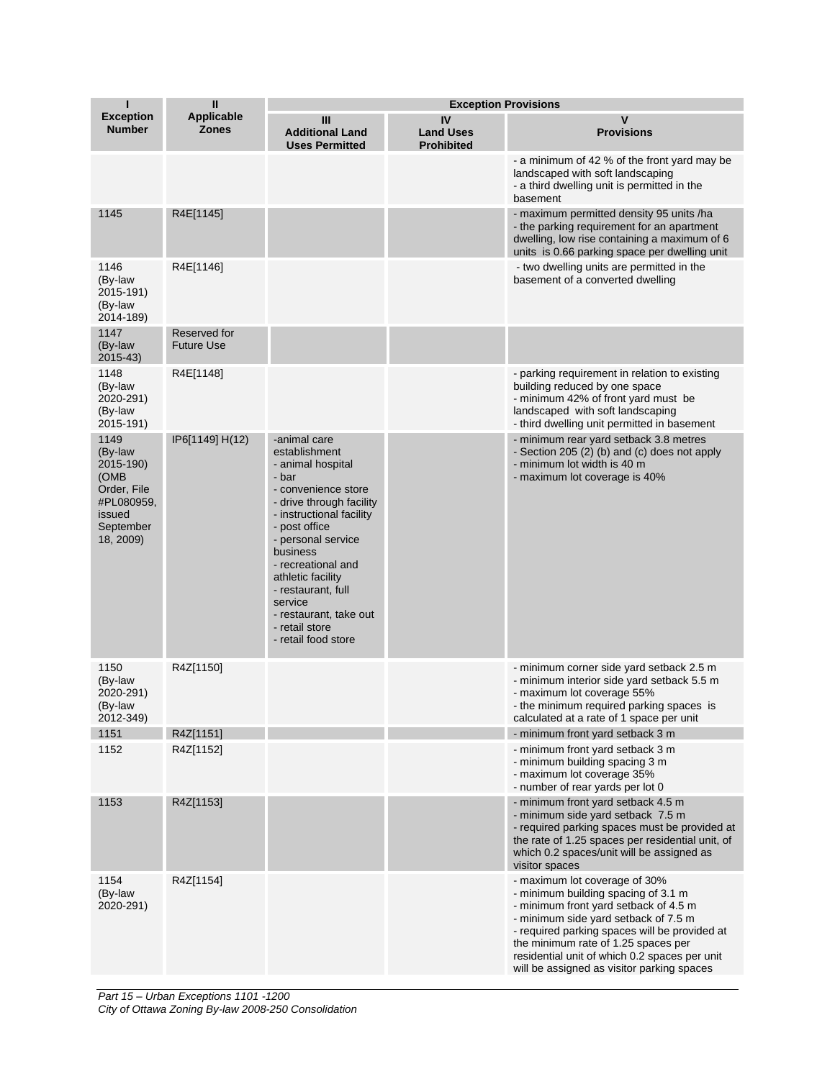| п                                                                                                     | $\mathbf{I}$                      |                                                                                                                                                                                                                                                                                                                                              | <b>Exception Provisions</b>                 |                                                                                                                                                                                                                                                                                                                                              |
|-------------------------------------------------------------------------------------------------------|-----------------------------------|----------------------------------------------------------------------------------------------------------------------------------------------------------------------------------------------------------------------------------------------------------------------------------------------------------------------------------------------|---------------------------------------------|----------------------------------------------------------------------------------------------------------------------------------------------------------------------------------------------------------------------------------------------------------------------------------------------------------------------------------------------|
| <b>Exception</b><br><b>Number</b>                                                                     | <b>Applicable</b><br><b>Zones</b> | Ш<br><b>Additional Land</b><br><b>Uses Permitted</b>                                                                                                                                                                                                                                                                                         | IV<br><b>Land Uses</b><br><b>Prohibited</b> | $\mathsf{v}$<br><b>Provisions</b>                                                                                                                                                                                                                                                                                                            |
|                                                                                                       |                                   |                                                                                                                                                                                                                                                                                                                                              |                                             | - a minimum of 42 % of the front yard may be<br>landscaped with soft landscaping<br>- a third dwelling unit is permitted in the<br>basement                                                                                                                                                                                                  |
| 1145                                                                                                  | R4E[1145]                         |                                                                                                                                                                                                                                                                                                                                              |                                             | - maximum permitted density 95 units /ha<br>- the parking requirement for an apartment<br>dwelling, low rise containing a maximum of 6<br>units is 0.66 parking space per dwelling unit                                                                                                                                                      |
| 1146<br>(By-law<br>2015-191)<br>(By-law<br>2014-189)                                                  | R4E[1146]                         |                                                                                                                                                                                                                                                                                                                                              |                                             | - two dwelling units are permitted in the<br>basement of a converted dwelling                                                                                                                                                                                                                                                                |
| 1147<br>(By-law<br>2015-43)                                                                           | Reserved for<br><b>Future Use</b> |                                                                                                                                                                                                                                                                                                                                              |                                             |                                                                                                                                                                                                                                                                                                                                              |
| 1148<br>(By-law<br>2020-291)<br>(By-law<br>2015-191)                                                  | R4E[1148]                         |                                                                                                                                                                                                                                                                                                                                              |                                             | - parking requirement in relation to existing<br>building reduced by one space<br>- minimum 42% of front yard must be<br>landscaped with soft landscaping<br>- third dwelling unit permitted in basement                                                                                                                                     |
| 1149<br>(By-law<br>2015-190)<br>(OMB<br>Order, File<br>#PL080959,<br>issued<br>September<br>18, 2009) | IP6[1149] H(12)                   | -animal care<br>establishment<br>- animal hospital<br>- bar<br>- convenience store<br>- drive through facility<br>- instructional facility<br>- post office<br>- personal service<br>business<br>- recreational and<br>athletic facility<br>- restaurant, full<br>service<br>- restaurant, take out<br>- retail store<br>- retail food store |                                             | - minimum rear yard setback 3.8 metres<br>- Section 205 (2) (b) and (c) does not apply<br>- minimum lot width is 40 m<br>- maximum lot coverage is 40%                                                                                                                                                                                       |
| 1150<br>(By-law<br>2020-291)<br>(By-law<br>2012-349)                                                  | R4Z[1150]                         |                                                                                                                                                                                                                                                                                                                                              |                                             | - minimum corner side yard setback 2.5 m<br>- minimum interior side yard setback 5.5 m<br>- maximum lot coverage 55%<br>- the minimum required parking spaces is<br>calculated at a rate of 1 space per unit                                                                                                                                 |
| 1151                                                                                                  | R4Z[1151]                         |                                                                                                                                                                                                                                                                                                                                              |                                             | - minimum front yard setback 3 m                                                                                                                                                                                                                                                                                                             |
| 1152                                                                                                  | R4Z[1152]                         |                                                                                                                                                                                                                                                                                                                                              |                                             | - minimum front yard setback 3 m<br>- minimum building spacing 3 m<br>- maximum lot coverage 35%<br>- number of rear yards per lot 0                                                                                                                                                                                                         |
| 1153                                                                                                  | R4Z[1153]                         |                                                                                                                                                                                                                                                                                                                                              |                                             | - minimum front yard setback 4.5 m<br>- minimum side yard setback 7.5 m<br>- required parking spaces must be provided at<br>the rate of 1.25 spaces per residential unit, of<br>which 0.2 spaces/unit will be assigned as<br>visitor spaces                                                                                                  |
| 1154<br>(By-law<br>2020-291)                                                                          | R4Z[1154]                         |                                                                                                                                                                                                                                                                                                                                              |                                             | - maximum lot coverage of 30%<br>- minimum building spacing of 3.1 m<br>- minimum front yard setback of 4.5 m<br>- minimum side yard setback of 7.5 m<br>- required parking spaces will be provided at<br>the minimum rate of 1.25 spaces per<br>residential unit of which 0.2 spaces per unit<br>will be assigned as visitor parking spaces |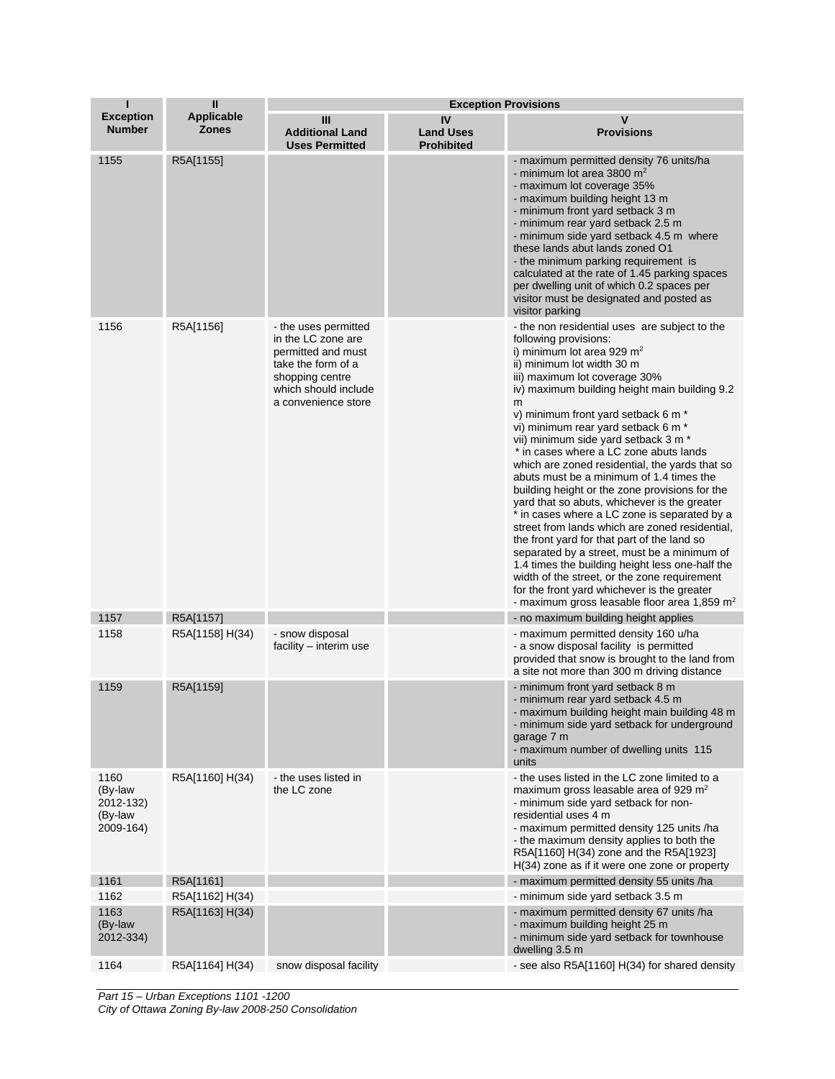| п                                                    | Ш                                 | <b>Exception Provisions</b>                                                                                                                              |                                             |                                                                                                                                                                                                                                                                                                                                                                                                                                                                                                                                                                                                                                                                                                                                                                                                                                                                                                                                                                                                           |
|------------------------------------------------------|-----------------------------------|----------------------------------------------------------------------------------------------------------------------------------------------------------|---------------------------------------------|-----------------------------------------------------------------------------------------------------------------------------------------------------------------------------------------------------------------------------------------------------------------------------------------------------------------------------------------------------------------------------------------------------------------------------------------------------------------------------------------------------------------------------------------------------------------------------------------------------------------------------------------------------------------------------------------------------------------------------------------------------------------------------------------------------------------------------------------------------------------------------------------------------------------------------------------------------------------------------------------------------------|
| <b>Exception</b><br><b>Number</b>                    | <b>Applicable</b><br><b>Zones</b> | Ш<br><b>Additional Land</b><br><b>Uses Permitted</b>                                                                                                     | IV<br><b>Land Uses</b><br><b>Prohibited</b> | v<br><b>Provisions</b>                                                                                                                                                                                                                                                                                                                                                                                                                                                                                                                                                                                                                                                                                                                                                                                                                                                                                                                                                                                    |
| 1155                                                 | R5A[1155]                         |                                                                                                                                                          |                                             | - maximum permitted density 76 units/ha<br>- minimum lot area 3800 $m2$<br>- maximum lot coverage 35%<br>- maximum building height 13 m<br>- minimum front yard setback 3 m<br>- minimum rear yard setback 2.5 m<br>- minimum side yard setback 4.5 m where<br>these lands abut lands zoned O1<br>- the minimum parking requirement is<br>calculated at the rate of 1.45 parking spaces<br>per dwelling unit of which 0.2 spaces per<br>visitor must be designated and posted as<br>visitor parking                                                                                                                                                                                                                                                                                                                                                                                                                                                                                                       |
| 1156                                                 | R5A[1156]                         | - the uses permitted<br>in the LC zone are<br>permitted and must<br>take the form of a<br>shopping centre<br>which should include<br>a convenience store |                                             | - the non residential uses are subject to the<br>following provisions:<br>i) minimum lot area 929 $m2$<br>ii) minimum lot width 30 m<br>iii) maximum lot coverage 30%<br>iv) maximum building height main building 9.2<br>m<br>v) minimum front yard setback 6 m *<br>vi) minimum rear yard setback 6 m *<br>vii) minimum side yard setback 3 m *<br>* in cases where a LC zone abuts lands<br>which are zoned residential, the yards that so<br>abuts must be a minimum of 1.4 times the<br>building height or the zone provisions for the<br>yard that so abuts, whichever is the greater<br>* in cases where a LC zone is separated by a<br>street from lands which are zoned residential,<br>the front yard for that part of the land so<br>separated by a street, must be a minimum of<br>1.4 times the building height less one-half the<br>width of the street, or the zone requirement<br>for the front yard whichever is the greater<br>- maximum gross leasable floor area 1,859 m <sup>2</sup> |
| 1157                                                 | R5A[1157]                         |                                                                                                                                                          |                                             | - no maximum building height applies                                                                                                                                                                                                                                                                                                                                                                                                                                                                                                                                                                                                                                                                                                                                                                                                                                                                                                                                                                      |
| 1158                                                 | R5A[1158] H(34)                   | - snow disposal<br>facility – interim use                                                                                                                |                                             | - maximum permitted density 160 u/ha<br>- a snow disposal facility is permitted<br>provided that snow is brought to the land from<br>a site not more than 300 m driving distance                                                                                                                                                                                                                                                                                                                                                                                                                                                                                                                                                                                                                                                                                                                                                                                                                          |
| 1159                                                 | R5A[1159]                         |                                                                                                                                                          |                                             | - minimum front yard setback 8 m<br>- minimum rear yard setback 4.5 m<br>- maximum building height main building 48 m<br>- minimum side yard setback for underground<br>garage 7 m<br>- maximum number of dwelling units 115<br>units                                                                                                                                                                                                                                                                                                                                                                                                                                                                                                                                                                                                                                                                                                                                                                     |
| 1160<br>(By-law<br>2012-132)<br>(By-law<br>2009-164) | R5A[1160] H(34)                   | - the uses listed in<br>the LC zone                                                                                                                      |                                             | - the uses listed in the LC zone limited to a<br>maximum gross leasable area of 929 m <sup>2</sup><br>- minimum side yard setback for non-<br>residential uses 4 m<br>- maximum permitted density 125 units /ha<br>- the maximum density applies to both the<br>R5A[1160] H(34) zone and the R5A[1923]<br>H(34) zone as if it were one zone or property                                                                                                                                                                                                                                                                                                                                                                                                                                                                                                                                                                                                                                                   |
| 1161                                                 | R5A[1161]                         |                                                                                                                                                          |                                             | - maximum permitted density 55 units /ha                                                                                                                                                                                                                                                                                                                                                                                                                                                                                                                                                                                                                                                                                                                                                                                                                                                                                                                                                                  |
| 1162                                                 | R5A[1162] H(34)                   |                                                                                                                                                          |                                             | - minimum side yard setback 3.5 m                                                                                                                                                                                                                                                                                                                                                                                                                                                                                                                                                                                                                                                                                                                                                                                                                                                                                                                                                                         |
| 1163<br>(By-law<br>2012-334)                         | R5A[1163] H(34)                   |                                                                                                                                                          |                                             | - maximum permitted density 67 units /ha<br>- maximum building height 25 m<br>- minimum side yard setback for townhouse<br>dwelling 3.5 m                                                                                                                                                                                                                                                                                                                                                                                                                                                                                                                                                                                                                                                                                                                                                                                                                                                                 |
| 1164                                                 | R5A[1164] H(34)                   | snow disposal facility                                                                                                                                   |                                             | - see also R5A[1160] H(34) for shared density                                                                                                                                                                                                                                                                                                                                                                                                                                                                                                                                                                                                                                                                                                                                                                                                                                                                                                                                                             |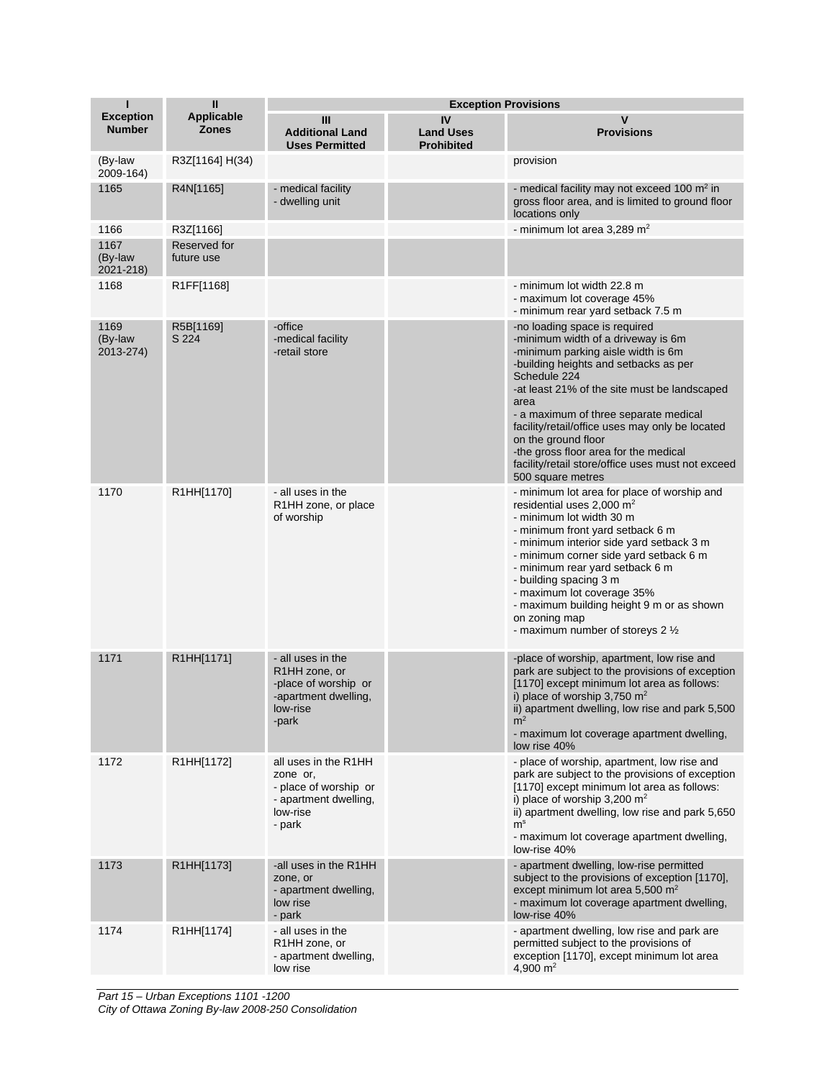| п                                 | $\mathbf{I}$                      |                                                                                                                      | <b>Exception Provisions</b>                 |                                                                                                                                                                                                                                                                                                                                                                                                                                                                  |
|-----------------------------------|-----------------------------------|----------------------------------------------------------------------------------------------------------------------|---------------------------------------------|------------------------------------------------------------------------------------------------------------------------------------------------------------------------------------------------------------------------------------------------------------------------------------------------------------------------------------------------------------------------------------------------------------------------------------------------------------------|
| <b>Exception</b><br><b>Number</b> | <b>Applicable</b><br><b>Zones</b> | Ш<br><b>Additional Land</b><br><b>Uses Permitted</b>                                                                 | IV<br><b>Land Uses</b><br><b>Prohibited</b> | $\mathsf{v}$<br><b>Provisions</b>                                                                                                                                                                                                                                                                                                                                                                                                                                |
| (By-law<br>2009-164)              | R3Z[1164] H(34)                   |                                                                                                                      |                                             | provision                                                                                                                                                                                                                                                                                                                                                                                                                                                        |
| 1165                              | R4N[1165]                         | - medical facility<br>- dwelling unit                                                                                |                                             | - medical facility may not exceed 100 $m2$ in<br>gross floor area, and is limited to ground floor<br>locations only                                                                                                                                                                                                                                                                                                                                              |
| 1166                              | R3Z[1166]                         |                                                                                                                      |                                             | - minimum lot area 3,289 m <sup>2</sup>                                                                                                                                                                                                                                                                                                                                                                                                                          |
| 1167<br>(By-law<br>2021-218)      | Reserved for<br>future use        |                                                                                                                      |                                             |                                                                                                                                                                                                                                                                                                                                                                                                                                                                  |
| 1168                              | R1FF[1168]                        |                                                                                                                      |                                             | - minimum lot width 22.8 m<br>- maximum lot coverage 45%<br>- minimum rear yard setback 7.5 m                                                                                                                                                                                                                                                                                                                                                                    |
| 1169<br>(By-law<br>2013-274)      | R5B[1169]<br>S 224                | -office<br>-medical facility<br>-retail store                                                                        |                                             | -no loading space is required<br>-minimum width of a driveway is 6m<br>-minimum parking aisle width is 6m<br>-building heights and setbacks as per<br>Schedule 224<br>-at least 21% of the site must be landscaped<br>area<br>- a maximum of three separate medical<br>facility/retail/office uses may only be located<br>on the ground floor<br>-the gross floor area for the medical<br>facility/retail store/office uses must not exceed<br>500 square metres |
| 1170                              | R1HH[1170]                        | - all uses in the<br>R <sub>1</sub> HH zone, or place<br>of worship                                                  |                                             | - minimum lot area for place of worship and<br>residential uses $2,000 \text{ m}^2$<br>- minimum lot width 30 m<br>- minimum front yard setback 6 m<br>- minimum interior side yard setback 3 m<br>- minimum corner side yard setback 6 m<br>- minimum rear yard setback 6 m<br>- building spacing 3 m<br>- maximum lot coverage 35%<br>- maximum building height 9 m or as shown<br>on zoning map<br>- maximum number of storeys 2 1/2                          |
| 1171                              | R1HH[1171]                        | - all uses in the<br>R <sub>1</sub> HH zone, or<br>-place of worship or<br>-apartment dwelling,<br>low-rise<br>-park |                                             | -place of worship, apartment, low rise and<br>park are subject to the provisions of exception<br>[1170] except minimum lot area as follows:<br>i) place of worship $3,750 \text{ m}^2$<br>ii) apartment dwelling, low rise and park 5,500<br>m <sup>2</sup><br>- maximum lot coverage apartment dwelling,<br>low rise 40%                                                                                                                                        |
| 1172                              | R1HH[1172]                        | all uses in the R1HH<br>zone or,<br>- place of worship or<br>- apartment dwelling,<br>low-rise<br>- park             |                                             | - place of worship, apartment, low rise and<br>park are subject to the provisions of exception<br>[1170] except minimum lot area as follows:<br>i) place of worship 3,200 $m2$<br>ii) apartment dwelling, low rise and park 5,650<br>m <sup>s</sup><br>- maximum lot coverage apartment dwelling,<br>low-rise 40%                                                                                                                                                |
| 1173                              | R1HH[1173]                        | -all uses in the R1HH<br>zone, or<br>- apartment dwelling,<br>low rise<br>- park                                     |                                             | - apartment dwelling, low-rise permitted<br>subject to the provisions of exception [1170],<br>except minimum lot area 5,500 $m2$<br>- maximum lot coverage apartment dwelling,<br>low-rise 40%                                                                                                                                                                                                                                                                   |
| 1174                              | R1HH[1174]                        | - all uses in the<br>R <sub>1</sub> HH zone, or<br>- apartment dwelling,<br>low rise                                 |                                             | - apartment dwelling, low rise and park are<br>permitted subject to the provisions of<br>exception [1170], except minimum lot area<br>4,900 $m2$                                                                                                                                                                                                                                                                                                                 |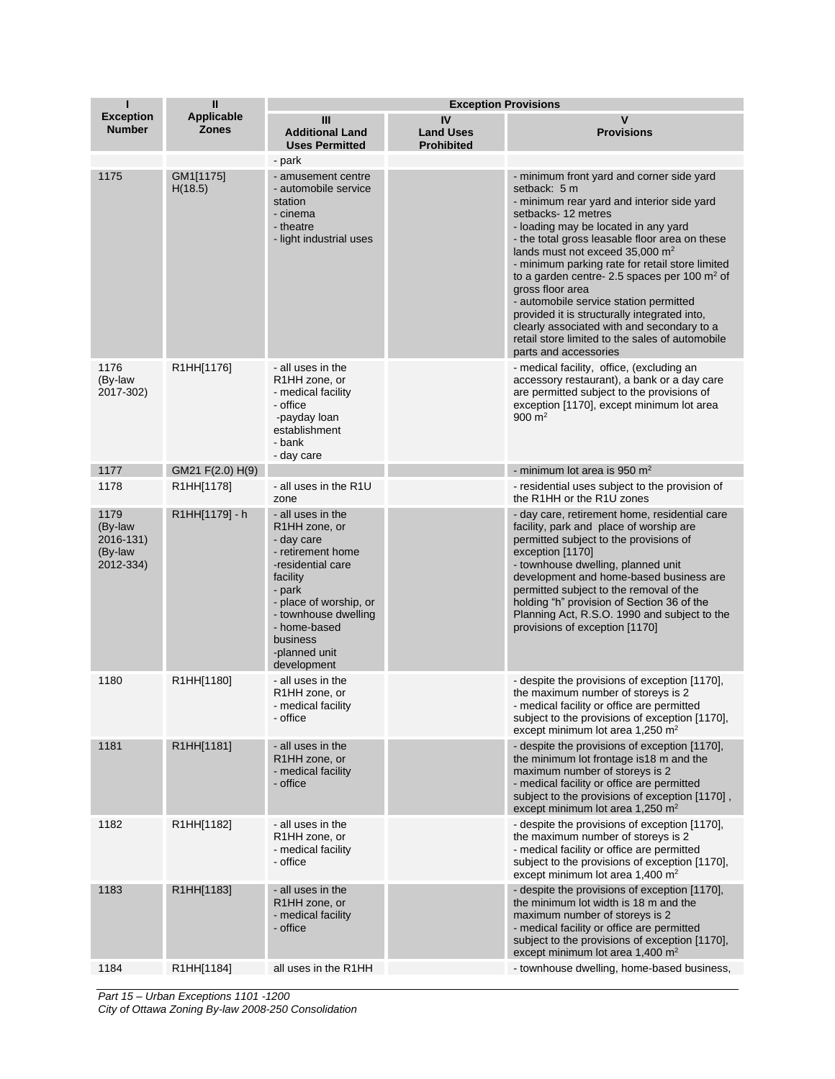| Т                                                    | $\mathbf{I}$                      | <b>Exception Provisions</b>                                                                                                                                                                                                                 |                                             |                                                                                                                                                                                                                                                                                                                                                                                                                                                                                                                                                                                                                     |
|------------------------------------------------------|-----------------------------------|---------------------------------------------------------------------------------------------------------------------------------------------------------------------------------------------------------------------------------------------|---------------------------------------------|---------------------------------------------------------------------------------------------------------------------------------------------------------------------------------------------------------------------------------------------------------------------------------------------------------------------------------------------------------------------------------------------------------------------------------------------------------------------------------------------------------------------------------------------------------------------------------------------------------------------|
| <b>Exception</b><br><b>Number</b>                    | <b>Applicable</b><br><b>Zones</b> | Ш<br><b>Additional Land</b><br><b>Uses Permitted</b><br>- park                                                                                                                                                                              | IV<br><b>Land Uses</b><br><b>Prohibited</b> | $\mathsf{V}$<br><b>Provisions</b>                                                                                                                                                                                                                                                                                                                                                                                                                                                                                                                                                                                   |
| 1175                                                 | GM1[1175]<br>H(18.5)              | - amusement centre<br>- automobile service<br>station<br>- cinema<br>- theatre<br>- light industrial uses                                                                                                                                   |                                             | - minimum front yard and corner side yard<br>setback: 5 m<br>- minimum rear yard and interior side yard<br>setbacks-12 metres<br>- loading may be located in any yard<br>- the total gross leasable floor area on these<br>lands must not exceed 35,000 m <sup>2</sup><br>- minimum parking rate for retail store limited<br>to a garden centre- 2.5 spaces per 100 $m2$ of<br>gross floor area<br>- automobile service station permitted<br>provided it is structurally integrated into,<br>clearly associated with and secondary to a<br>retail store limited to the sales of automobile<br>parts and accessories |
| 1176<br>(By-law<br>2017-302)                         | R1HH[1176]                        | - all uses in the<br>R <sub>1</sub> HH zone, or<br>- medical facility<br>- office<br>-payday loan<br>establishment<br>- bank<br>- day care                                                                                                  |                                             | - medical facility, office, (excluding an<br>accessory restaurant), a bank or a day care<br>are permitted subject to the provisions of<br>exception [1170], except minimum lot area<br>900 $m2$                                                                                                                                                                                                                                                                                                                                                                                                                     |
| 1177                                                 | GM21 F(2.0) H(9)                  |                                                                                                                                                                                                                                             |                                             | - minimum lot area is 950 $m2$                                                                                                                                                                                                                                                                                                                                                                                                                                                                                                                                                                                      |
| 1178                                                 | R1HH[1178]                        | - all uses in the R1U<br>zone                                                                                                                                                                                                               |                                             | - residential uses subject to the provision of<br>the R1HH or the R1U zones                                                                                                                                                                                                                                                                                                                                                                                                                                                                                                                                         |
| 1179<br>(By-law<br>2016-131)<br>(By-law<br>2012-334) | R1HH[1179] - h                    | - all uses in the<br>R <sub>1</sub> HH zone, or<br>- day care<br>- retirement home<br>-residential care<br>facility<br>- park<br>- place of worship, or<br>- townhouse dwelling<br>- home-based<br>business<br>-planned unit<br>development |                                             | - day care, retirement home, residential care<br>facility, park and place of worship are<br>permitted subject to the provisions of<br>exception [1170]<br>- townhouse dwelling, planned unit<br>development and home-based business are<br>permitted subject to the removal of the<br>holding "h" provision of Section 36 of the<br>Planning Act, R.S.O. 1990 and subject to the<br>provisions of exception [1170]                                                                                                                                                                                                  |
| 1180                                                 | R1HH[1180]                        | - all uses in the<br>R <sub>1</sub> HH zone, or<br>- medical facility<br>- office                                                                                                                                                           |                                             | - despite the provisions of exception [1170],<br>the maximum number of storeys is 2<br>- medical facility or office are permitted<br>subject to the provisions of exception [1170],<br>except minimum lot area 1,250 m <sup>2</sup>                                                                                                                                                                                                                                                                                                                                                                                 |
| 1181                                                 | R1HH[1181]                        | - all uses in the<br>R <sub>1</sub> HH zone, or<br>- medical facility<br>- office                                                                                                                                                           |                                             | - despite the provisions of exception [1170],<br>the minimum lot frontage is 18 m and the<br>maximum number of storeys is 2<br>- medical facility or office are permitted<br>subject to the provisions of exception [1170],<br>except minimum lot area 1,250 $m2$                                                                                                                                                                                                                                                                                                                                                   |
| 1182                                                 | R1HH[1182]                        | - all uses in the<br>R1HH zone, or<br>- medical facility<br>- office                                                                                                                                                                        |                                             | - despite the provisions of exception [1170],<br>the maximum number of storeys is 2<br>- medical facility or office are permitted<br>subject to the provisions of exception [1170].<br>except minimum lot area 1,400 $m2$                                                                                                                                                                                                                                                                                                                                                                                           |
| 1183                                                 | R1HH[1183]                        | - all uses in the<br>R1HH zone, or<br>- medical facility<br>- office                                                                                                                                                                        |                                             | - despite the provisions of exception [1170],<br>the minimum lot width is 18 m and the<br>maximum number of storeys is 2<br>- medical facility or office are permitted<br>subject to the provisions of exception [1170],<br>except minimum lot area 1,400 m <sup>2</sup>                                                                                                                                                                                                                                                                                                                                            |
| 1184                                                 | R1HH[1184]                        | all uses in the R1HH                                                                                                                                                                                                                        |                                             | - townhouse dwelling, home-based business,                                                                                                                                                                                                                                                                                                                                                                                                                                                                                                                                                                          |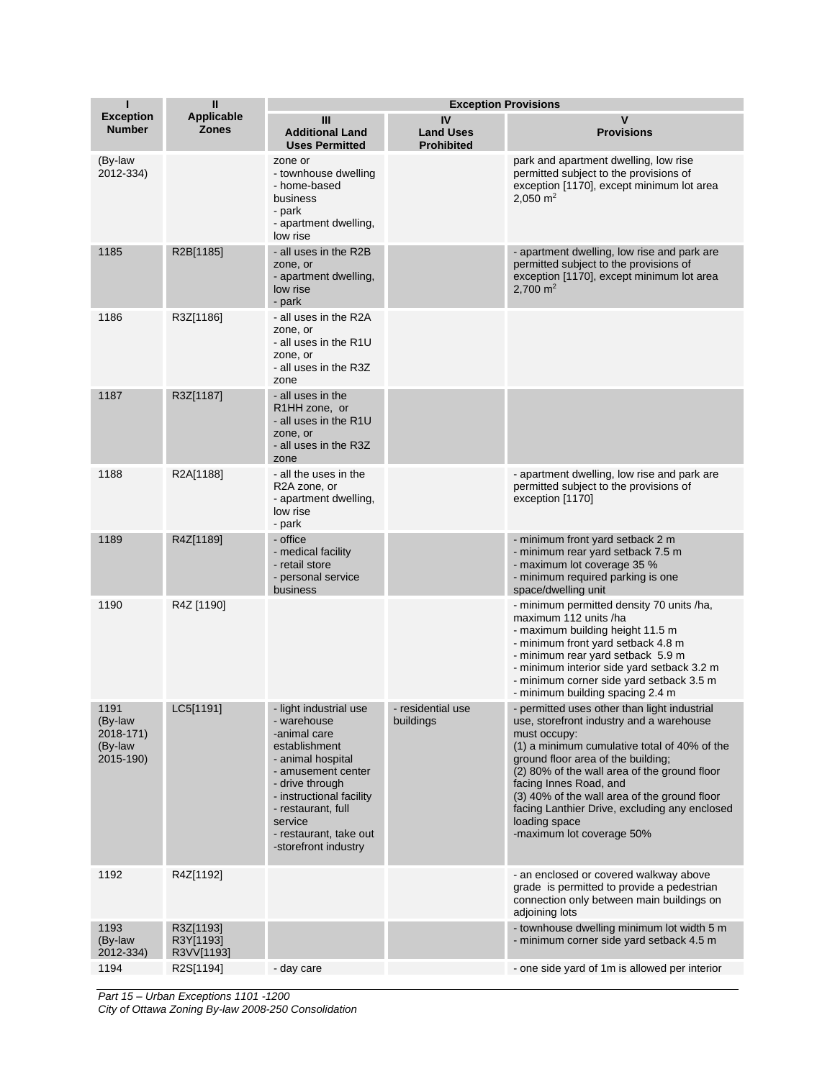| Ī                                                    | Ш                                    | <b>Exception Provisions</b>                                                                                                                                                                                                                         |                                             |                                                                                                                                                                                                                                                                                                                                                                                                                         |
|------------------------------------------------------|--------------------------------------|-----------------------------------------------------------------------------------------------------------------------------------------------------------------------------------------------------------------------------------------------------|---------------------------------------------|-------------------------------------------------------------------------------------------------------------------------------------------------------------------------------------------------------------------------------------------------------------------------------------------------------------------------------------------------------------------------------------------------------------------------|
| <b>Exception</b><br><b>Number</b>                    | <b>Applicable</b><br><b>Zones</b>    | Ш<br><b>Additional Land</b><br><b>Uses Permitted</b>                                                                                                                                                                                                | IV<br><b>Land Uses</b><br><b>Prohibited</b> | $\mathsf{v}$<br><b>Provisions</b>                                                                                                                                                                                                                                                                                                                                                                                       |
| (By-law<br>2012-334)                                 |                                      | zone or<br>- townhouse dwelling<br>- home-based<br>business<br>- park<br>- apartment dwelling,<br>low rise                                                                                                                                          |                                             | park and apartment dwelling, low rise<br>permitted subject to the provisions of<br>exception [1170], except minimum lot area<br>$2,050 \text{ m}^2$                                                                                                                                                                                                                                                                     |
| 1185                                                 | R2B[1185]                            | - all uses in the R2B<br>zone, or<br>- apartment dwelling,<br>low rise<br>- park                                                                                                                                                                    |                                             | - apartment dwelling, low rise and park are<br>permitted subject to the provisions of<br>exception [1170], except minimum lot area<br>2.700 $m2$                                                                                                                                                                                                                                                                        |
| 1186                                                 | R3Z[1186]                            | - all uses in the R2A<br>zone, or<br>- all uses in the R1U<br>zone, or<br>- all uses in the R3Z<br>zone                                                                                                                                             |                                             |                                                                                                                                                                                                                                                                                                                                                                                                                         |
| 1187                                                 | R3Z[1187]                            | - all uses in the<br>R1HH zone, or<br>- all uses in the R1U<br>zone, or<br>- all uses in the R3Z<br>zone                                                                                                                                            |                                             |                                                                                                                                                                                                                                                                                                                                                                                                                         |
| 1188                                                 | R2A[1188]                            | - all the uses in the<br>R2A zone, or<br>- apartment dwelling,<br>low rise<br>- park                                                                                                                                                                |                                             | - apartment dwelling, low rise and park are<br>permitted subject to the provisions of<br>exception [1170]                                                                                                                                                                                                                                                                                                               |
| 1189                                                 | R4Z[1189]                            | - office<br>- medical facility<br>- retail store<br>- personal service<br>business                                                                                                                                                                  |                                             | - minimum front yard setback 2 m<br>- minimum rear yard setback 7.5 m<br>- maximum lot coverage 35 %<br>- minimum required parking is one<br>space/dwelling unit                                                                                                                                                                                                                                                        |
| 1190                                                 | R4Z [1190]                           |                                                                                                                                                                                                                                                     |                                             | - minimum permitted density 70 units /ha,<br>maximum 112 units /ha<br>- maximum building height 11.5 m<br>- minimum front yard setback 4.8 m<br>- minimum rear yard setback 5.9 m<br>- minimum interior side yard setback 3.2 m<br>- minimum corner side yard setback 3.5 m<br>- minimum building spacing 2.4 m                                                                                                         |
| 1191<br>(By-law<br>2018-171)<br>(By-law<br>2015-190) | LC5[1191]                            | - light industrial use<br>- warehouse<br>-animal care<br>establishment<br>- animal hospital<br>- amusement center<br>- drive through<br>- instructional facility<br>- restaurant, full<br>service<br>- restaurant, take out<br>-storefront industry | - residential use<br>buildings              | - permitted uses other than light industrial<br>use, storefront industry and a warehouse<br>must occupy:<br>(1) a minimum cumulative total of 40% of the<br>ground floor area of the building;<br>(2) 80% of the wall area of the ground floor<br>facing Innes Road, and<br>(3) 40% of the wall area of the ground floor<br>facing Lanthier Drive, excluding any enclosed<br>loading space<br>-maximum lot coverage 50% |
| 1192                                                 | R4Z[1192]                            |                                                                                                                                                                                                                                                     |                                             | - an enclosed or covered walkway above<br>grade is permitted to provide a pedestrian<br>connection only between main buildings on<br>adjoining lots                                                                                                                                                                                                                                                                     |
| 1193<br>(By-law<br>2012-334)                         | R3Z[1193]<br>R3Y[1193]<br>R3VV[1193] |                                                                                                                                                                                                                                                     |                                             | - townhouse dwelling minimum lot width 5 m<br>- minimum corner side yard setback 4.5 m                                                                                                                                                                                                                                                                                                                                  |
| 1194                                                 | R2S[1194]                            | - day care                                                                                                                                                                                                                                          |                                             | - one side yard of 1m is allowed per interior                                                                                                                                                                                                                                                                                                                                                                           |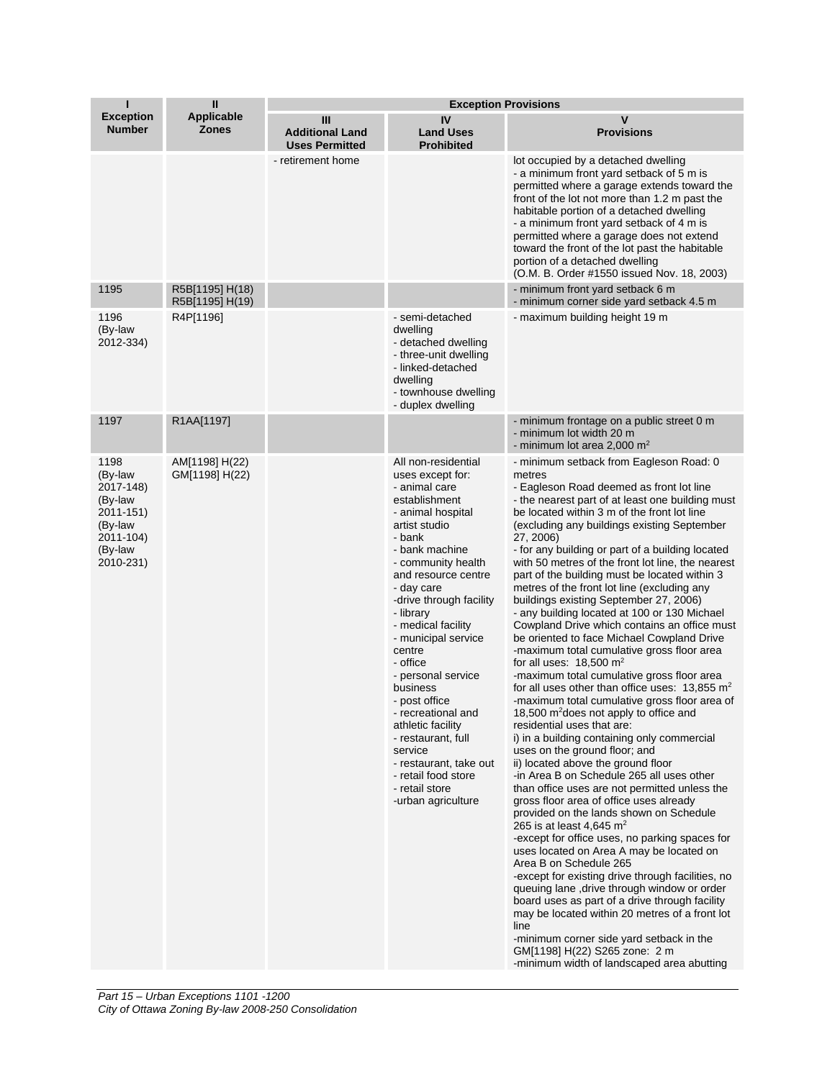| П                                                                                                    | $\mathbf{I}$<br><b>Applicable</b><br><b>Zones</b> | <b>Exception Provisions</b>                          |                                                                                                                                                                                                                                                                                                                                                                                                                                                                                                                                           |                                                                                                                                                                                                                                                                                                                                                                                                                                                                                                                                                                                                                                                                                                                                                                                                                                                                                                                                                                                                                                                                                                                                                                                                                                                                                                                                                                                                                                                                                                                                                                                                                                                                                                                                                                                                       |  |
|------------------------------------------------------------------------------------------------------|---------------------------------------------------|------------------------------------------------------|-------------------------------------------------------------------------------------------------------------------------------------------------------------------------------------------------------------------------------------------------------------------------------------------------------------------------------------------------------------------------------------------------------------------------------------------------------------------------------------------------------------------------------------------|-------------------------------------------------------------------------------------------------------------------------------------------------------------------------------------------------------------------------------------------------------------------------------------------------------------------------------------------------------------------------------------------------------------------------------------------------------------------------------------------------------------------------------------------------------------------------------------------------------------------------------------------------------------------------------------------------------------------------------------------------------------------------------------------------------------------------------------------------------------------------------------------------------------------------------------------------------------------------------------------------------------------------------------------------------------------------------------------------------------------------------------------------------------------------------------------------------------------------------------------------------------------------------------------------------------------------------------------------------------------------------------------------------------------------------------------------------------------------------------------------------------------------------------------------------------------------------------------------------------------------------------------------------------------------------------------------------------------------------------------------------------------------------------------------------|--|
| <b>Exception</b><br><b>Number</b>                                                                    |                                                   | Ш<br><b>Additional Land</b><br><b>Uses Permitted</b> | IV<br><b>Land Uses</b><br><b>Prohibited</b>                                                                                                                                                                                                                                                                                                                                                                                                                                                                                               | V<br><b>Provisions</b>                                                                                                                                                                                                                                                                                                                                                                                                                                                                                                                                                                                                                                                                                                                                                                                                                                                                                                                                                                                                                                                                                                                                                                                                                                                                                                                                                                                                                                                                                                                                                                                                                                                                                                                                                                                |  |
|                                                                                                      |                                                   | - retirement home                                    |                                                                                                                                                                                                                                                                                                                                                                                                                                                                                                                                           | lot occupied by a detached dwelling<br>- a minimum front yard setback of 5 m is<br>permitted where a garage extends toward the<br>front of the lot not more than 1.2 m past the<br>habitable portion of a detached dwelling<br>- a minimum front yard setback of 4 m is<br>permitted where a garage does not extend<br>toward the front of the lot past the habitable<br>portion of a detached dwelling<br>(O.M. B. Order #1550 issued Nov. 18, 2003)                                                                                                                                                                                                                                                                                                                                                                                                                                                                                                                                                                                                                                                                                                                                                                                                                                                                                                                                                                                                                                                                                                                                                                                                                                                                                                                                                 |  |
| 1195                                                                                                 | R5B[1195] H(18)<br>R5B[1195] H(19)                |                                                      |                                                                                                                                                                                                                                                                                                                                                                                                                                                                                                                                           | - minimum front yard setback 6 m<br>- minimum corner side yard setback 4.5 m                                                                                                                                                                                                                                                                                                                                                                                                                                                                                                                                                                                                                                                                                                                                                                                                                                                                                                                                                                                                                                                                                                                                                                                                                                                                                                                                                                                                                                                                                                                                                                                                                                                                                                                          |  |
| 1196<br>(By-law<br>2012-334)                                                                         | R4P[1196]                                         |                                                      | - semi-detached<br>dwelling<br>- detached dwelling<br>- three-unit dwelling<br>- linked-detached<br>dwelling<br>- townhouse dwelling<br>- duplex dwelling                                                                                                                                                                                                                                                                                                                                                                                 | - maximum building height 19 m                                                                                                                                                                                                                                                                                                                                                                                                                                                                                                                                                                                                                                                                                                                                                                                                                                                                                                                                                                                                                                                                                                                                                                                                                                                                                                                                                                                                                                                                                                                                                                                                                                                                                                                                                                        |  |
| 1197                                                                                                 | R1AA[1197]                                        |                                                      |                                                                                                                                                                                                                                                                                                                                                                                                                                                                                                                                           | - minimum frontage on a public street 0 m<br>- minimum lot width 20 m<br>- minimum lot area 2,000 $m2$                                                                                                                                                                                                                                                                                                                                                                                                                                                                                                                                                                                                                                                                                                                                                                                                                                                                                                                                                                                                                                                                                                                                                                                                                                                                                                                                                                                                                                                                                                                                                                                                                                                                                                |  |
| 1198<br>(By-law<br>2017-148)<br>(By-law<br>2011-151)<br>(By-law<br>2011-104)<br>(By-law<br>2010-231) | AM[1198] H(22)<br>GM[1198] H(22)                  |                                                      | All non-residential<br>uses except for:<br>- animal care<br>establishment<br>- animal hospital<br>artist studio<br>- bank<br>- bank machine<br>- community health<br>and resource centre<br>- day care<br>-drive through facility<br>- library<br>- medical facility<br>- municipal service<br>centre<br>- office<br>- personal service<br>business<br>- post office<br>- recreational and<br>athletic facility<br>- restaurant, full<br>service<br>- restaurant, take out<br>- retail food store<br>- retail store<br>-urban agriculture | - minimum setback from Eagleson Road: 0<br>metres<br>- Eagleson Road deemed as front lot line<br>- the nearest part of at least one building must<br>be located within 3 m of the front lot line<br>(excluding any buildings existing September<br>27, 2006)<br>- for any building or part of a building located<br>with 50 metres of the front lot line, the nearest<br>part of the building must be located within 3<br>metres of the front lot line (excluding any<br>buildings existing September 27, 2006)<br>- any building located at 100 or 130 Michael<br>Cowpland Drive which contains an office must<br>be oriented to face Michael Cowpland Drive<br>-maximum total cumulative gross floor area<br>for all uses: $18,500 \text{ m}^2$<br>-maximum total cumulative gross floor area<br>for all uses other than office uses: $13,855$ m <sup>2</sup><br>-maximum total cumulative gross floor area of<br>18,500 $m2$ does not apply to office and<br>residential uses that are:<br>i) in a building containing only commercial<br>uses on the ground floor; and<br>ii) located above the ground floor<br>-in Area B on Schedule 265 all uses other<br>than office uses are not permitted unless the<br>gross floor area of office uses already<br>provided on the lands shown on Schedule<br>265 is at least 4,645 $m2$<br>-except for office uses, no parking spaces for<br>uses located on Area A may be located on<br>Area B on Schedule 265<br>-except for existing drive through facilities, no<br>queuing lane, drive through window or order<br>board uses as part of a drive through facility<br>may be located within 20 metres of a front lot<br>line<br>-minimum corner side yard setback in the<br>GM[1198] H(22) S265 zone: 2 m<br>-minimum width of landscaped area abutting |  |